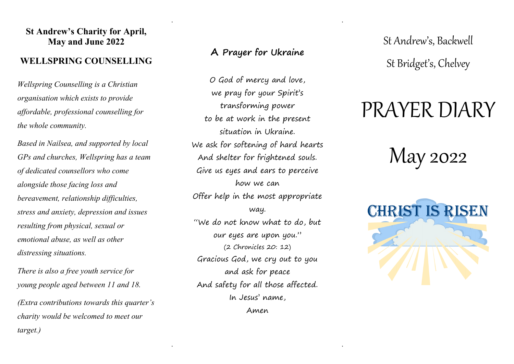### **St Andrew's Charity for April, May and June 2022**

## **WELLSPRING COUNSELLING**

*Wellspring Counselling is a Christian organisation which exists to provide affordable, professional counselling for the whole community.* 

*Based in Nailsea, and supported by local GPs and churches, Wellspring has a team of dedicated counsellors who come alongside those facing loss and bereavement, relationship difficulties, stress and anxiety, depression and issues resulting from physical, sexual or emotional abuse, as well as other distressing situations.*

*There is also a free youth service for young people aged between 11 and 18.*

*(Extra contributions towards this quarter's charity would be welcomed to meet our target.)*

## **A Prayer for Ukraine**

. .

. .

O God of mercy and love, we pray for your Spirit's transforming power to be at work in the present situation in Ukraine. We ask for softening of hard hearts And shelter for frightened souls. Give us eyes and ears to perceive how we can Offer help in the most appropriate way. "We do not know what to do, but our eyes are upon you." (2 Chronicles 20: 12) Gracious God, we cry out to you and ask for peace And safety for all those affected. In Jesus' name, Amen

St Andrew's, Backwell St Bridget's, Chelvey

## PRAYER DIARY

# May 2022